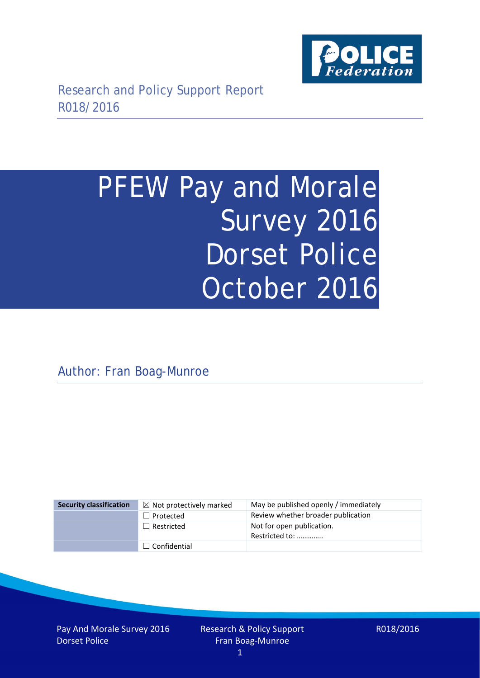

# PFEW Pay and Morale Survey 2016 Dorset Police October 2016

Author: Fran Boag-Munroe

| <b>Security classification</b> | $\boxtimes$ Not protectively marked | May be published openly / immediately       |
|--------------------------------|-------------------------------------|---------------------------------------------|
|                                | $\Box$ Protected                    | Review whether broader publication          |
|                                | $\Box$ Restricted                   | Not for open publication.<br>Restricted to: |
|                                | $\Box$ Confidential                 |                                             |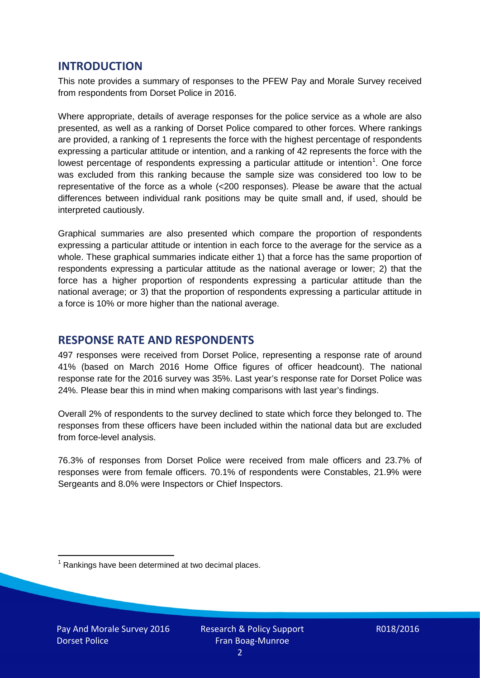### **INTRODUCTION**

This note provides a summary of responses to the PFEW Pay and Morale Survey received from respondents from Dorset Police in 2016.

Where appropriate, details of average responses for the police service as a whole are also presented, as well as a ranking of Dorset Police compared to other forces. Where rankings are provided, a ranking of 1 represents the force with the highest percentage of respondents expressing a particular attitude or intention, and a ranking of 42 represents the force with the lowest percentage of respondents expressing a particular attitude or intention<sup>[1](#page-1-0)</sup>. One force was excluded from this ranking because the sample size was considered too low to be representative of the force as a whole (<200 responses). Please be aware that the actual differences between individual rank positions may be quite small and, if used, should be interpreted cautiously.

Graphical summaries are also presented which compare the proportion of respondents expressing a particular attitude or intention in each force to the average for the service as a whole. These graphical summaries indicate either 1) that a force has the same proportion of respondents expressing a particular attitude as the national average or lower; 2) that the force has a higher proportion of respondents expressing a particular attitude than the national average; or 3) that the proportion of respondents expressing a particular attitude in a force is 10% or more higher than the national average.

# **RESPONSE RATE AND RESPONDENTS**

497 responses were received from Dorset Police, representing a response rate of around 41% (based on March 2016 Home Office figures of officer headcount). The national response rate for the 2016 survey was 35%. Last year's response rate for Dorset Police was 24%. Please bear this in mind when making comparisons with last year's findings.

Overall 2% of respondents to the survey declined to state which force they belonged to. The responses from these officers have been included within the national data but are excluded from force-level analysis.

76.3% of responses from Dorset Police were received from male officers and 23.7% of responses were from female officers. 70.1% of respondents were Constables, 21.9% were Sergeants and 8.0% were Inspectors or Chief Inspectors.

<span id="page-1-0"></span> $1$  Rankings have been determined at two decimal places.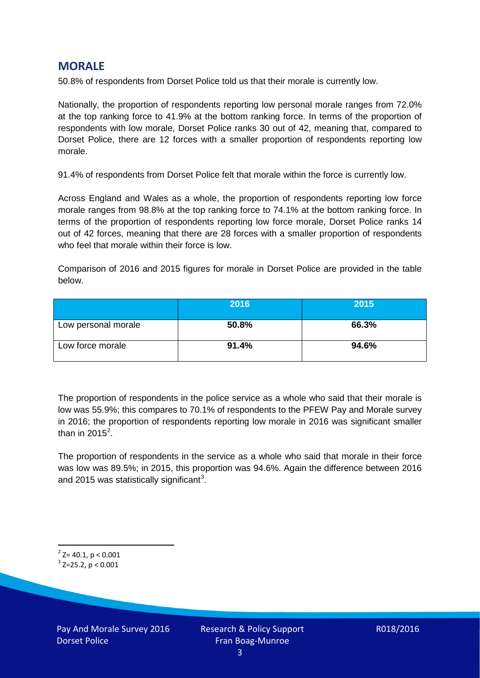# **MORALE**

50.8% of respondents from Dorset Police told us that their morale is currently low.

Nationally, the proportion of respondents reporting low personal morale ranges from 72.0% at the top ranking force to 41.9% at the bottom ranking force. In terms of the proportion of respondents with low morale, Dorset Police ranks 30 out of 42, meaning that, compared to Dorset Police, there are 12 forces with a smaller proportion of respondents reporting low morale.

91.4% of respondents from Dorset Police felt that morale within the force is currently low.

Across England and Wales as a whole, the proportion of respondents reporting low force morale ranges from 98.8% at the top ranking force to 74.1% at the bottom ranking force. In terms of the proportion of respondents reporting low force morale, Dorset Police ranks 14 out of 42 forces, meaning that there are 28 forces with a smaller proportion of respondents who feel that morale within their force is low.

Comparison of 2016 and 2015 figures for morale in Dorset Police are provided in the table below.

|                     | 2016  | 2015  |
|---------------------|-------|-------|
| Low personal morale | 50.8% | 66.3% |
| Low force morale    | 91.4% | 94.6% |

The proportion of respondents in the police service as a whole who said that their morale is low was 55.9%; this compares to 70.1% of respondents to the PFEW Pay and Morale survey in 2016; the proportion of respondents reporting low morale in 2016 was significant smaller than in [2](#page-2-0)015 $^2$ .

The proportion of respondents in the service as a whole who said that morale in their force was low was 89.5%; in 2015, this proportion was 94.6%. Again the difference between 2016 and 2015 was statistically significant<sup>[3](#page-2-1)</sup>.

<span id="page-2-0"></span> $2$ <sup>2</sup> Z= 40.1, p < 0.001

<span id="page-2-1"></span> $3$  Z=25.2, p < 0.001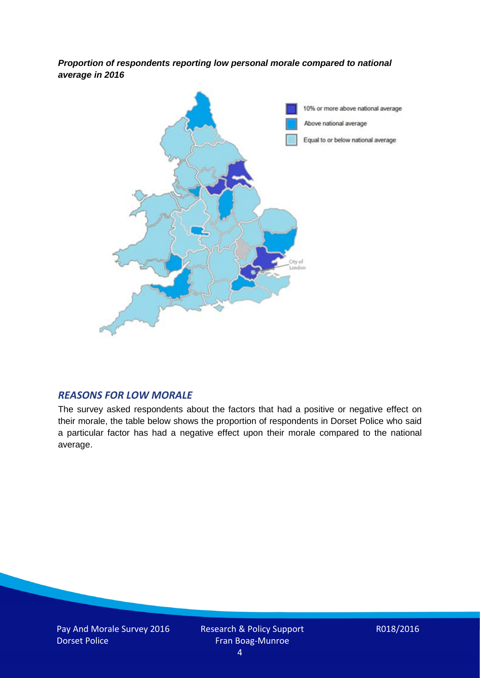*Proportion of respondents reporting low personal morale compared to national average in 2016*



#### *REASONS FOR LOW MORALE*

The survey asked respondents about the factors that had a positive or negative effect on their morale, the table below shows the proportion of respondents in Dorset Police who said a particular factor has had a negative effect upon their morale compared to the national average.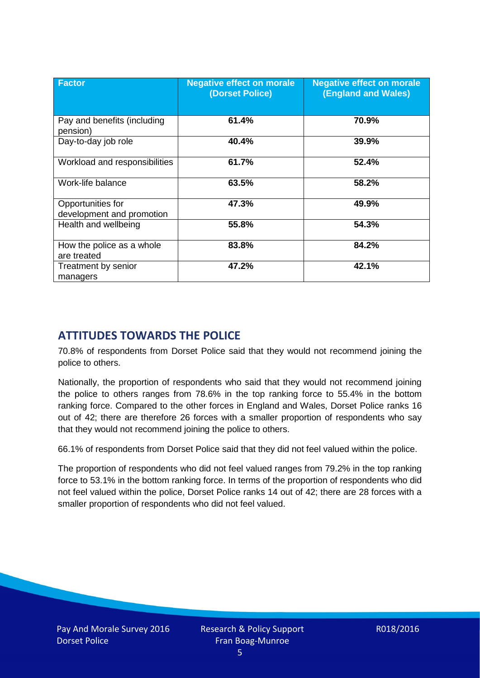| <b>Factor</b>                                  | <b>Negative effect on morale</b><br>(Dorset Police) | <b>Negative effect on morale</b><br>(England and Wales) |
|------------------------------------------------|-----------------------------------------------------|---------------------------------------------------------|
| Pay and benefits (including<br>pension)        | 61.4%                                               | 70.9%                                                   |
| Day-to-day job role                            | 40.4%                                               | 39.9%                                                   |
| Workload and responsibilities                  | 61.7%                                               | 52.4%                                                   |
| Work-life balance                              | 63.5%                                               | 58.2%                                                   |
| Opportunities for<br>development and promotion | 47.3%                                               | 49.9%                                                   |
| Health and wellbeing                           | 55.8%                                               | 54.3%                                                   |
| How the police as a whole<br>are treated       | 83.8%                                               | 84.2%                                                   |
| Treatment by senior<br>managers                | 47.2%                                               | 42.1%                                                   |

# **ATTITUDES TOWARDS THE POLICE**

70.8% of respondents from Dorset Police said that they would not recommend joining the police to others.

Nationally, the proportion of respondents who said that they would not recommend joining the police to others ranges from 78.6% in the top ranking force to 55.4% in the bottom ranking force. Compared to the other forces in England and Wales, Dorset Police ranks 16 out of 42; there are therefore 26 forces with a smaller proportion of respondents who say that they would not recommend joining the police to others.

66.1% of respondents from Dorset Police said that they did not feel valued within the police.

The proportion of respondents who did not feel valued ranges from 79.2% in the top ranking force to 53.1% in the bottom ranking force. In terms of the proportion of respondents who did not feel valued within the police, Dorset Police ranks 14 out of 42; there are 28 forces with a smaller proportion of respondents who did not feel valued.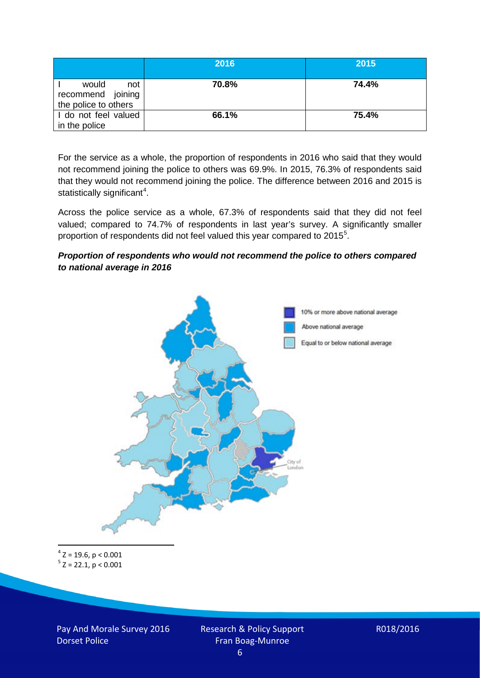|                                                           | 2016  | 2015  |
|-----------------------------------------------------------|-------|-------|
| would<br>not<br>recommend joining<br>the police to others | 70.8% | 74.4% |
| I do not feel valued<br>in the police                     | 66.1% | 75.4% |

For the service as a whole, the proportion of respondents in 2016 who said that they would not recommend joining the police to others was 69.9%. In 2015, 76.3% of respondents said that they would not recommend joining the police. The difference between 2016 and 2015 is statistically significant<sup>[4](#page-5-0)</sup>.

Across the police service as a whole, 67.3% of respondents said that they did not feel valued; compared to 74.7% of respondents in last year's survey. A significantly smaller proportion of respondents did not feel valued this year compared to 201[5](#page-5-1)<sup>5</sup>.

#### *Proportion of respondents who would not recommend the police to others compared to national average in 2016*



<span id="page-5-1"></span><span id="page-5-0"></span> $4$  Z = 19.6, p < 0.001  $5$  Z = 22.1, p < 0.001

Pay And Morale Survey 2016 Dorset Police

Research & Policy Support Fran Boag-Munroe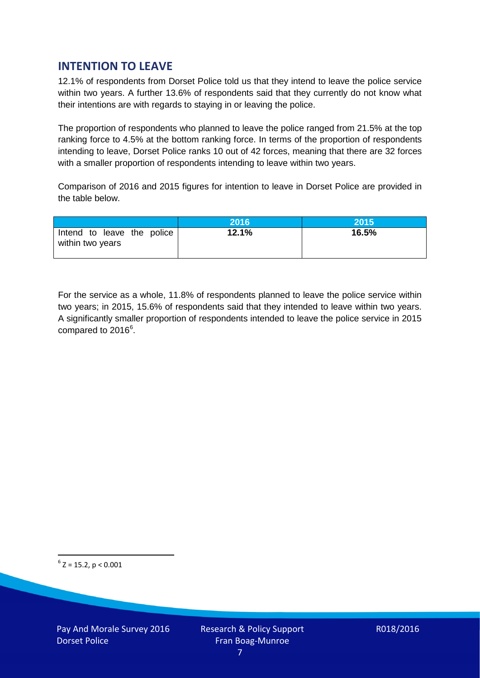# **INTENTION TO LEAVE**

12.1% of respondents from Dorset Police told us that they intend to leave the police service within two years. A further 13.6% of respondents said that they currently do not know what their intentions are with regards to staying in or leaving the police.

The proportion of respondents who planned to leave the police ranged from 21.5% at the top ranking force to 4.5% at the bottom ranking force. In terms of the proportion of respondents intending to leave, Dorset Police ranks 10 out of 42 forces, meaning that there are 32 forces with a smaller proportion of respondents intending to leave within two years.

Comparison of 2016 and 2015 figures for intention to leave in Dorset Police are provided in the table below.

|                                                | 2016  | 2015  |
|------------------------------------------------|-------|-------|
| Intend to leave the police<br>within two years | 12.1% | 16.5% |

For the service as a whole, 11.8% of respondents planned to leave the police service within two years; in 2015, 15.6% of respondents said that they intended to leave within two years. A significantly smaller proportion of respondents intended to leave the police service in 2015 compared to 201[6](#page-6-0)<sup>6</sup>.

<span id="page-6-0"></span> $6$  Z = 15.2, p < 0.001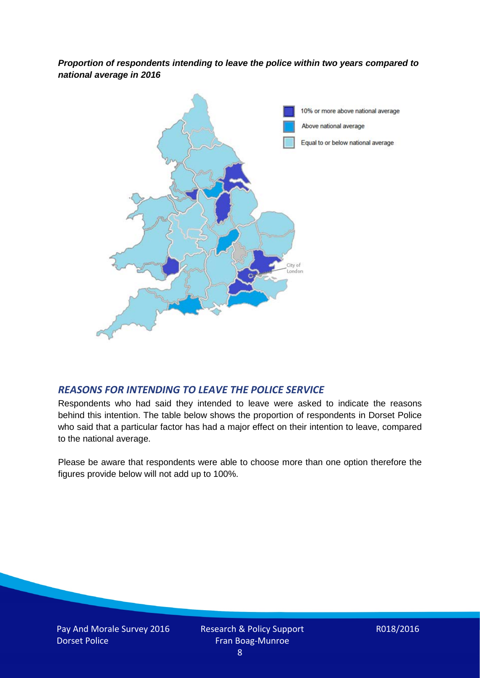*Proportion of respondents intending to leave the police within two years compared to national average in 2016*



# *REASONS FOR INTENDING TO LEAVE THE POLICE SERVICE*

Respondents who had said they intended to leave were asked to indicate the reasons behind this intention. The table below shows the proportion of respondents in Dorset Police who said that a particular factor has had a major effect on their intention to leave, compared to the national average.

Please be aware that respondents were able to choose more than one option therefore the figures provide below will not add up to 100%.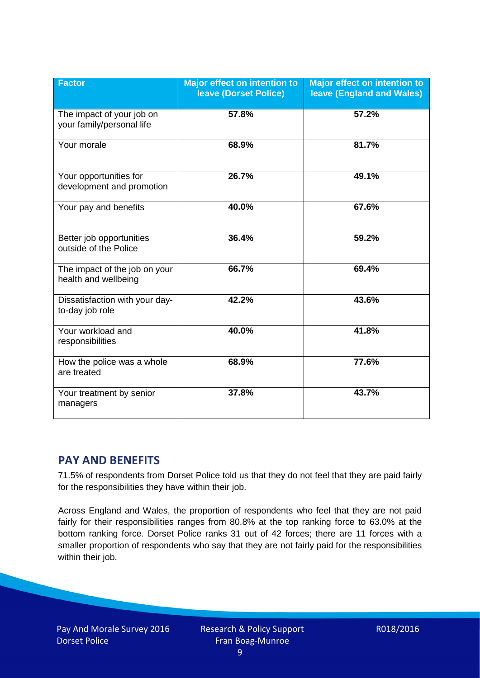| <b>Factor</b>                                          | <b>Major effect on intention to</b><br><b>leave (Dorset Police)</b> | <b>Major effect on intention to</b><br><b>leave (England and Wales)</b> |
|--------------------------------------------------------|---------------------------------------------------------------------|-------------------------------------------------------------------------|
| The impact of your job on<br>your family/personal life | 57.8%                                                               | 57.2%                                                                   |
| Your morale                                            | 68.9%                                                               | 81.7%                                                                   |
| Your opportunities for<br>development and promotion    | 26.7%                                                               | 49.1%                                                                   |
| Your pay and benefits                                  | 40.0%                                                               | 67.6%                                                                   |
| Better job opportunities<br>outside of the Police      | 36.4%                                                               | 59.2%                                                                   |
| The impact of the job on your<br>health and wellbeing  | 66.7%                                                               | 69.4%                                                                   |
| Dissatisfaction with your day-<br>to-day job role      | 42.2%                                                               | 43.6%                                                                   |
| Your workload and<br>responsibilities                  | 40.0%                                                               | 41.8%                                                                   |
| How the police was a whole<br>are treated              | 68.9%                                                               | 77.6%                                                                   |
| Your treatment by senior<br>managers                   | 37.8%                                                               | 43.7%                                                                   |

# **PAY AND BENEFITS**

71.5% of respondents from Dorset Police told us that they do not feel that they are paid fairly for the responsibilities they have within their job.

Across England and Wales, the proportion of respondents who feel that they are not paid fairly for their responsibilities ranges from 80.8% at the top ranking force to 63.0% at the bottom ranking force. Dorset Police ranks 31 out of 42 forces; there are 11 forces with a smaller proportion of respondents who say that they are not fairly paid for the responsibilities within their job.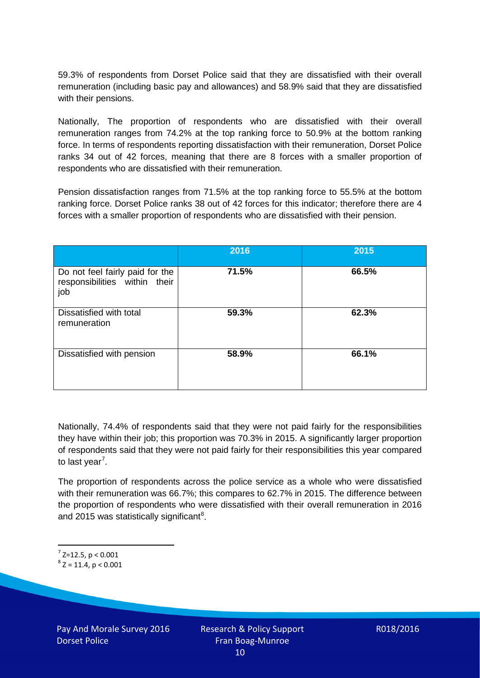59.3% of respondents from Dorset Police said that they are dissatisfied with their overall remuneration (including basic pay and allowances) and 58.9% said that they are dissatisfied with their pensions.

Nationally, The proportion of respondents who are dissatisfied with their overall remuneration ranges from 74.2% at the top ranking force to 50.9% at the bottom ranking force. In terms of respondents reporting dissatisfaction with their remuneration, Dorset Police ranks 34 out of 42 forces, meaning that there are 8 forces with a smaller proportion of respondents who are dissatisfied with their remuneration.

Pension dissatisfaction ranges from 71.5% at the top ranking force to 55.5% at the bottom ranking force. Dorset Police ranks 38 out of 42 forces for this indicator; therefore there are 4 forces with a smaller proportion of respondents who are dissatisfied with their pension.

|                                                                         | 2016  | 2015  |
|-------------------------------------------------------------------------|-------|-------|
| Do not feel fairly paid for the<br>responsibilities within their<br>job | 71.5% | 66.5% |
| Dissatisfied with total<br>remuneration                                 | 59.3% | 62.3% |
| Dissatisfied with pension                                               | 58.9% | 66.1% |

Nationally, 74.4% of respondents said that they were not paid fairly for the responsibilities they have within their job; this proportion was 70.3% in 2015. A significantly larger proportion of respondents said that they were not paid fairly for their responsibilities this year compared to last year<sup>[7](#page-9-0)</sup>.

The proportion of respondents across the police service as a whole who were dissatisfied with their remuneration was 66.7%; this compares to 62.7% in 2015. The difference between the proportion of respondents who were dissatisfied with their overall remuneration in 2016 and 2015 was statistically significant<sup>[8](#page-9-1)</sup>.

<span id="page-9-0"></span> $7$  Z=12.5, p < 0.001

<span id="page-9-1"></span> $8$  Z = 11.4, p < 0.001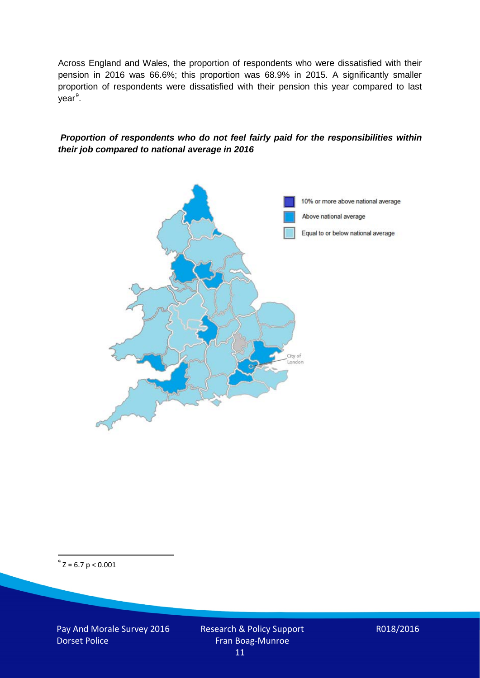Across England and Wales, the proportion of respondents who were dissatisfied with their pension in 2016 was 66.6%; this proportion was 68.9% in 2015. A significantly smaller proportion of respondents were dissatisfied with their pension this year compared to last year<sup>[9](#page-10-0)</sup>.

#### *Proportion of respondents who do not feel fairly paid for the responsibilities within their job compared to national average in 2016*



<span id="page-10-0"></span> $9^9$  Z = 6.7 p < 0.001